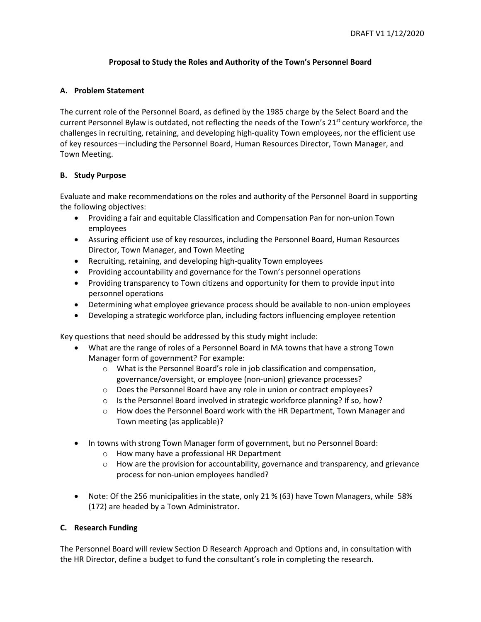# **Proposal to Study the Roles and Authority of the Town's Personnel Board**

## **A. Problem Statement**

The current role of the Personnel Board, as defined by the 1985 charge by the Select Board and the current Personnel Bylaw is outdated, not reflecting the needs of the Town's 21<sup>st</sup> century workforce, the challenges in recruiting, retaining, and developing high-quality Town employees, nor the efficient use of key resources—including the Personnel Board, Human Resources Director, Town Manager, and Town Meeting.

## **B. Study Purpose**

Evaluate and make recommendations on the roles and authority of the Personnel Board in supporting the following objectives:

- Providing a fair and equitable Classification and Compensation Pan for non-union Town employees
- Assuring efficient use of key resources, including the Personnel Board, Human Resources Director, Town Manager, and Town Meeting
- Recruiting, retaining, and developing high-quality Town employees
- Providing accountability and governance for the Town's personnel operations
- Providing transparency to Town citizens and opportunity for them to provide input into personnel operations
- Determining what employee grievance process should be available to non-union employees
- Developing a strategic workforce plan, including factors influencing employee retention

Key questions that need should be addressed by this study might include:

- What are the range of roles of a Personnel Board in MA towns that have a strong Town Manager form of government? For example:
	- o What is the Personnel Board's role in job classification and compensation, governance/oversight, or employee (non-union) grievance processes?
	- o Does the Personnel Board have any role in union or contract employees?
	- $\circ$  Is the Personnel Board involved in strategic workforce planning? If so, how?
	- $\circ$  How does the Personnel Board work with the HR Department, Town Manager and Town meeting (as applicable)?
- In towns with strong Town Manager form of government, but no Personnel Board:
	- o How many have a professional HR Department
	- $\circ$  How are the provision for accountability, governance and transparency, and grievance process for non-union employees handled?
- Note: Of the 256 municipalities in the state, only 21 % (63) have Town Managers, while 58% (172) are headed by a Town Administrator.

## **C. Research Funding**

The Personnel Board will review Section D Research Approach and Options and, in consultation with the HR Director, define a budget to fund the consultant's role in completing the research.